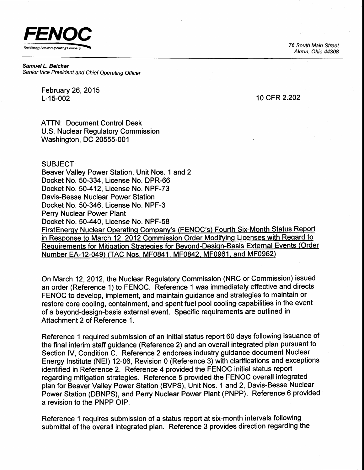FENOC First Energy Nuclear Operating Company **First Energy Nuclear Operating Company** 

Akron. Ohio 44308

Samuel L. Belcher Senior Vice President and Chief Operating Officer

> February 26,2015 L-15-002

10 cFR 2.202

ATTN: Document Control Desk U.S. Nuclear Regulatory Commission Washington, DC 20555-001

#### SUBJECT:

Beaver Valley Power Station, Unit Nos. 1 and 2 Docket No. 50-334, License No. DPR-66 Docket No. 50-412, License No. NPF-73 Davis-Besse Nuclear Power Station Docket No. 50-346, License No. NPF-3 Perry Nuclear Power Plant Docket No. 50-440, License No. NPF-58 FirstEnergy Nuclear Operating Company's (FENOC's) Fourth Six-Month Status Report in Response to March 12, 2012 Commission Order Modifying Licenses with Regard to Requirements for Mitigation Strategies for Beyond-Design-Basis External Events (Order Number EA-12-049) (TAC Nos. MF0841, MF0842, MF0961, and MF0962)

On March 12, 2012, the Nuclear Regulatory Commission (NRC or Commission) issued an order (Reference 1) to FENOC. Reference 1 was immediately effective and directs FENOC to develop, implement, and maintain guidance and strategies to maintain or restore core cooling, containment, and spent fuel pool cooling capabilities in the event of a beyond-design-basis external event. Specific requirements are outlined in Attachment 2 of Reference 1.

Reference 1 required submission of an initial status report 60 days following issuance of the final interim staff guidance (Reference 2) and an overall integrated plan pursuant to Section IV, Condition C. Reference 2 endorses industry guidance document Nuclear Energy Institute (NEl) 12-06, Revision 0 (Reference 3) with clarifications and exceptions identified in Reference 2. Reference 4 provided the FENOC initial status report regarding mitigation strategies. Reference 5 provided the FENOC overall integrated plan for Beaver Valley Power Station (BVPS), Unit Nos. 1 and 2, Davis-Besse Nuclear Power Station (DBNPS), and Perry Nuclear Power Plant (PNPP). Reference 6 provided a revision to the PNPP OlP.

Reference 1 requires submission of a status report at six-month intervals following submittal of the overall integrated plan. Reference 3 provides direction regarding the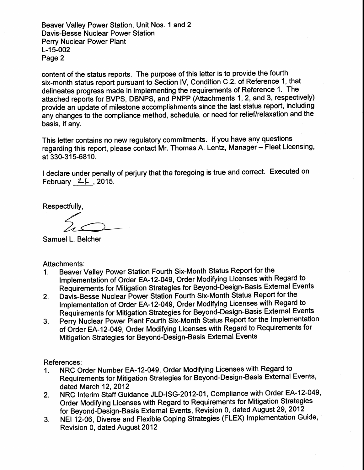Beaver Valley Power Station, Unit Nos. 1 and 2 Davis-Besse Nuclear Power Station Perry Nuclear Power Plant L-15-002 Page 2

content of the status reports. The purpose of this letter is to provide the fourth six-month status report pursuant to Section lV, Condition C.2, of Reference 1, that delineates progress made in implementing the requirements of Reference 1. The attached reports for BVPS, DBNPS, and PNPP (Attachments 1,2, and 3, respectively) provide an update of milestone accomplishments since the last status report, including any changes to the compliance method, schedule, or need for relief/relaxation and the basis, if any.

This letter contains no new regulatory commitments. If you have any questions regarding this report, please contact Mr. Thomas A. Lentz, Manager - Fleet Licensing, at 330-315-6810.

I declare under penalty of perjury that the foregoing is true and correct. Executed on February  $2\xi$ , 2015.

Respectfully,

Samuel L. Belcher

Attachments:

- 1. Beaver Valley Power Station Fourth Six-Month Status Report for the Implementation of Order EA-12-049, Order Modifying Licenses with Regard to Requirements for Mitigation Strategies for Beyond-Design-Basis External Events
- Z. Davis-Besse Nuclear Power Station Fourth Six-Month Status Report for the Implementation of Order EA-12-049, Order Modifying Licenses with Regard to Requirements for Mitigation Strategies for Beyond-Design-Basis External Events
- 3. Perry Nuclear Power Plant Fourth Six-Month Status Report for the Implementation of Order EA-1 2-049, Order Modifying Licenses with Regard to Requirements for Mitigation Strategies for Beyond-Design-Basis External Events

References:

- 1. NRC Order Number EA-12-049, Order Modifying Licenses with Regard to Requirements for Mitigation Strategies for Beyond-Design-Basis External Events, dated March 12,2012
- 2. NRC Interim Staff Guidance JLD-ISG-2012-01, Compliance with Order EA-12-049, Order Modifying Licenses with Regard to Requirements for Mitigation Strategies for Beyond-Design-Basis External Events, Revision 0, dated August 29, 2012
- 3. NEI 12-06, Diverse and Flexible Coping Strategies (FLEX) lmplementation Guide, Revision 0, dated August 2012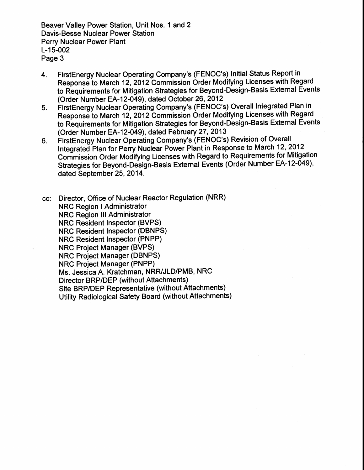Beaver Valley Power Station, Unit Nos. 1 and 2 Davis-Besse Nuclear Power Station Perry Nuclear Power Plant L-15-002 Page 3

- 4. FirstEnergy Nuclear Operating Company's (FENOC's) Initial Status Report in Response to March 12, 2012 Commission Order Modifying Licenses with Regard to Requirements for Mitigation Strategies for Beyond-Design-Basis External Events (Order Number EA-12-049), dated October 26,2012
- 5. FirstEnergy Nuclear Operating Company's (FENOC's) Overall Integrated Plan in Response to March 12, 2012 Commission Order Modifying Licenses with Regard to Requirements for Mitigation Strategies for Beyond-Design-Basis External Events (Order Number EA-12-049), dated February 27,2013
- 6. FirstEnergy Nuclear Operating Company's (FENOC's) Revision of Overall Integrated Plan for Perry Nuclear Power Plant in Response to March 12, 2012 Commission Order Modifying Licenses with Regard to Requirements for Mitigation Strategies for Beyond-Design-Basis External Events (Order Number EA-12-049), dated September 25, 2014.

cc: Director, Office of Nuclear Reactor Regulation (NRR) **NRC Region I Administrator** NRC Region lll Administrator NRC Resident Inspector (BVPS) NRC Resident Inspector (DBNPS) NRC Resident Inspector (PNPP) NRC Project Manager (BVPS) NRC Project Manager (DBNPS) NRC Project Manager (PNPP) Ms. Jessica A. Kratchman, NRR/JLD/PMB, NRC Director BRP/DEP (without Attachments) Site BRPIDEP Representative (without Attachments) Utility Radiological Safety Board (without Attachments)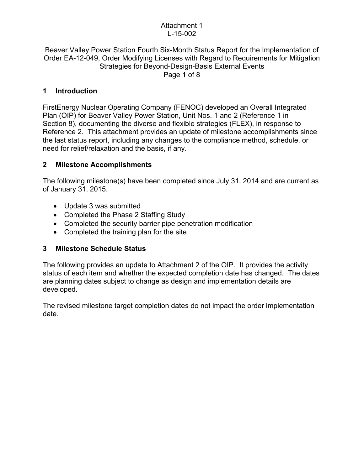#### Attachment 1 L-15-002

#### Beaver Valley Power Station Fourth Six-Month Status Report for the Implementation of Order EA-12-049, Order Modifying Licenses with Regard to Requirements for Mitigation Strategies for Beyond-Design-Basis External Events Page 1 of 8

### **1 Introduction**

FirstEnergy Nuclear Operating Company (FENOC) developed an Overall Integrated Plan (OIP) for Beaver Valley Power Station, Unit Nos. 1 and 2 (Reference 1 in Section 8), documenting the diverse and flexible strategies (FLEX), in response to Reference 2. This attachment provides an update of milestone accomplishments since the last status report, including any changes to the compliance method, schedule, or need for relief/relaxation and the basis, if any.

## **2 Milestone Accomplishments**

The following milestone(s) have been completed since July 31, 2014 and are current as of January 31, 2015.

- Update 3 was submitted
- Completed the Phase 2 Staffing Study
- Completed the security barrier pipe penetration modification
- Completed the training plan for the site

### **3 Milestone Schedule Status**

The following provides an update to Attachment 2 of the OIP. It provides the activity status of each item and whether the expected completion date has changed. The dates are planning dates subject to change as design and implementation details are developed.

The revised milestone target completion dates do not impact the order implementation date.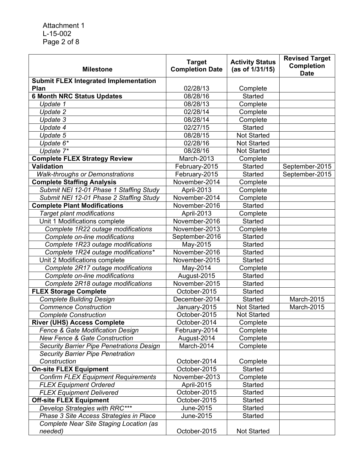| <b>Milestone</b>                                   | <b>Target</b><br><b>Completion Date</b> | <b>Activity Status</b><br>(as of 1/31/15) | <b>Revised Target</b><br><b>Completion</b><br><b>Date</b> |
|----------------------------------------------------|-----------------------------------------|-------------------------------------------|-----------------------------------------------------------|
| <b>Submit FLEX Integrated Implementation</b>       |                                         |                                           |                                                           |
| Plan                                               | 02/28/13                                | Complete                                  |                                                           |
| <b>6 Month NRC Status Updates</b>                  | 08/28/16                                | <b>Started</b>                            |                                                           |
| Update 1                                           | 08/28/13                                | Complete                                  |                                                           |
| Update 2                                           | 02/28/14                                | Complete                                  |                                                           |
| Update 3                                           | 08/28/14                                | Complete                                  |                                                           |
| Update 4                                           | 02/27/15                                | <b>Started</b>                            |                                                           |
| Update 5                                           | 08/28/15                                | <b>Not Started</b>                        |                                                           |
| Update 6*                                          | 02/28/16                                | <b>Not Started</b>                        |                                                           |
| Update 7*                                          | 08/28/16                                | <b>Not Started</b>                        |                                                           |
| <b>Complete FLEX Strategy Review</b>               | March-2013                              | Complete                                  |                                                           |
| <b>Validation</b>                                  | February-2015                           | <b>Started</b>                            | September-2015                                            |
| <b>Walk-throughs or Demonstrations</b>             | February-2015                           | Started                                   | September-2015                                            |
| <b>Complete Staffing Analysis</b>                  | November-2014                           | Complete                                  |                                                           |
| Submit NEI 12-01 Phase 1 Staffing Study            | April-2013                              | Complete                                  |                                                           |
| Submit NEI 12-01 Phase 2 Staffing Study            | November-2014                           | Complete                                  |                                                           |
| <b>Complete Plant Modifications</b>                | November-2016                           | <b>Started</b>                            |                                                           |
| <b>Target plant modifications</b>                  | April-2013                              | Complete                                  |                                                           |
| Unit 1 Modifications complete                      | November-2016                           | <b>Started</b>                            |                                                           |
| Complete 1R22 outage modifications                 | November-2013                           | Complete                                  |                                                           |
| Complete on-line modifications                     | September-2016                          | <b>Started</b>                            |                                                           |
| Complete 1R23 outage modifications                 | May-2015                                | <b>Started</b>                            |                                                           |
| Complete 1R24 outage modifications*                | November-2016                           | <b>Started</b>                            |                                                           |
| Unit 2 Modifications complete                      | November-2015                           | <b>Started</b>                            |                                                           |
| Complete 2R17 outage modifications                 | May-2014                                | Complete                                  |                                                           |
| Complete on-line modifications                     | August-2015                             | <b>Started</b>                            |                                                           |
| Complete 2R18 outage modifications                 | November-2015                           | <b>Started</b>                            |                                                           |
| <b>FLEX Storage Complete</b>                       | October-2015                            | Started                                   |                                                           |
| <b>Complete Building Design</b>                    | December-2014                           | Started                                   | March-2015                                                |
| <b>Commence Construction</b>                       | January-2015                            | <b>Not Started</b>                        | March-2015                                                |
| <b>Complete Construction</b>                       | October-2015                            | <b>Not Started</b>                        |                                                           |
| <b>River (UHS) Access Complete</b>                 | October-2014                            | Complete                                  |                                                           |
| Fence & Gate Modification Design                   | February-2014                           | Complete                                  |                                                           |
| <b>New Fence &amp; Gate Construction</b>           | August-2014                             | Complete                                  |                                                           |
| <b>Security Barrier Pipe Penetrations Design</b>   | March-2014                              | Complete                                  |                                                           |
| <b>Security Barrier Pipe Penetration</b>           |                                         |                                           |                                                           |
| Construction                                       | October-2014                            | Complete                                  |                                                           |
| <b>On-site FLEX Equipment</b>                      | October-2015                            | <b>Started</b>                            |                                                           |
| <b>Confirm FLEX Equipment Requirements</b>         | November-2013                           | Complete                                  |                                                           |
| <b>FLEX Equipment Ordered</b>                      | April-2015                              | Started                                   |                                                           |
| <b>FLEX Equipment Delivered</b>                    | October-2015                            | Started                                   |                                                           |
| <b>Off-site FLEX Equipment</b>                     | October-2015                            | Started                                   |                                                           |
| Develop Strategies with RRC***                     | June-2015                               | Started                                   |                                                           |
| Phase 3 Site Access Strategies in Place            | June-2015                               | Started                                   |                                                           |
| Complete Near Site Staging Location (as<br>needed) | October-2015                            | <b>Not Started</b>                        |                                                           |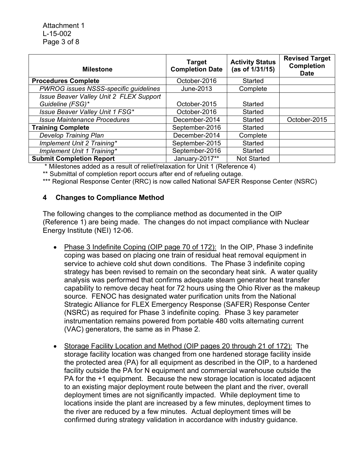| <b>Milestone</b>                        | <b>Target</b><br><b>Completion Date</b> | <b>Activity Status</b><br>(as of 1/31/15) | <b>Revised Target</b><br><b>Completion</b><br><b>Date</b> |
|-----------------------------------------|-----------------------------------------|-------------------------------------------|-----------------------------------------------------------|
| <b>Procedures Complete</b>              | October-2016                            | Started                                   |                                                           |
| PWROG issues NSSS-specific guidelines   | June-2013                               | Complete                                  |                                                           |
| Issue Beaver Valley Unit 2 FLEX Support |                                         |                                           |                                                           |
| Guideline (FSG)*                        | October-2015                            | Started                                   |                                                           |
| Issue Beaver Valley Unit 1 FSG*         | October-2016                            | Started                                   |                                                           |
| <b>Issue Maintenance Procedures</b>     | December-2014                           | Started                                   | October-2015                                              |
| <b>Training Complete</b>                | September-2016                          | Started                                   |                                                           |
| <b>Develop Training Plan</b>            | December-2014                           | Complete                                  |                                                           |
| Implement Unit 2 Training*              | September-2015                          | Started                                   |                                                           |
| Implement Unit 1 Training*              | September-2016                          | <b>Started</b>                            |                                                           |
| <b>Submit Completion Report</b>         | January-2017**                          | <b>Not Started</b>                        |                                                           |

\* Milestones added as a result of relief/relaxation for Unit 1 (Reference 4)

\*\* Submittal of completion report occurs after end of refueling outage.

\*\*\* Regional Response Center (RRC) is now called National SAFER Response Center (NSRC)

#### **4 Changes to Compliance Method**

The following changes to the compliance method as documented in the OIP (Reference 1) are being made. The changes do not impact compliance with Nuclear Energy Institute (NEI) 12-06.

- Phase 3 Indefinite Coping (OIP page 70 of 172): In the OIP, Phase 3 indefinite coping was based on placing one train of residual heat removal equipment in service to achieve cold shut down conditions. The Phase 3 indefinite coping strategy has been revised to remain on the secondary heat sink. A water quality analysis was performed that confirms adequate steam generator heat transfer capability to remove decay heat for 72 hours using the Ohio River as the makeup source. FENOC has designated water purification units from the National Strategic Alliance for FLEX Emergency Response (SAFER) Response Center (NSRC) as required for Phase 3 indefinite coping. Phase 3 key parameter instrumentation remains powered from portable 480 volts alternating current (VAC) generators, the same as in Phase 2.
- Storage Facility Location and Method (OIP pages 20 through 21 of 172): The storage facility location was changed from one hardened storage facility inside the protected area (PA) for all equipment as described in the OIP, to a hardened facility outside the PA for N equipment and commercial warehouse outside the PA for the +1 equipment. Because the new storage location is located adjacent to an existing major deployment route between the plant and the river, overall deployment times are not significantly impacted. While deployment time to locations inside the plant are increased by a few minutes, deployment times to the river are reduced by a few minutes. Actual deployment times will be confirmed during strategy validation in accordance with industry guidance.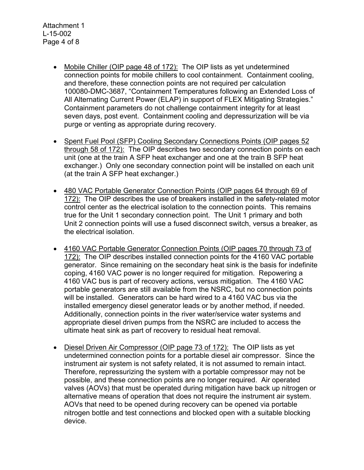- Mobile Chiller (OIP page 48 of 172): The OIP lists as yet undetermined connection points for mobile chillers to cool containment. Containment cooling, and therefore, these connection points are not required per calculation 100080-DMC-3687, "Containment Temperatures following an Extended Loss of All Alternating Current Power (ELAP) in support of FLEX Mitigating Strategies." Containment parameters do not challenge containment integrity for at least seven days, post event. Containment cooling and depressurization will be via purge or venting as appropriate during recovery.
- Spent Fuel Pool (SFP) Cooling Secondary Connections Points (OIP pages 52 through 58 of 172): The OIP describes two secondary connection points on each unit (one at the train A SFP heat exchanger and one at the train B SFP heat exchanger.) Only one secondary connection point will be installed on each unit (at the train A SFP heat exchanger.)
- 480 VAC Portable Generator Connection Points (OIP pages 64 through 69 of 172): The OIP describes the use of breakers installed in the safety-related motor control center as the electrical isolation to the connection points. This remains true for the Unit 1 secondary connection point. The Unit 1 primary and both Unit 2 connection points will use a fused disconnect switch, versus a breaker, as the electrical isolation.
- 4160 VAC Portable Generator Connection Points (OIP pages 70 through 73 of 172): The OIP describes installed connection points for the 4160 VAC portable generator. Since remaining on the secondary heat sink is the basis for indefinite coping, 4160 VAC power is no longer required for mitigation. Repowering a 4160 VAC bus is part of recovery actions, versus mitigation. The 4160 VAC portable generators are still available from the NSRC, but no connection points will be installed. Generators can be hard wired to a 4160 VAC bus via the installed emergency diesel generator leads or by another method, if needed. Additionally, connection points in the river water/service water systems and appropriate diesel driven pumps from the NSRC are included to access the ultimate heat sink as part of recovery to residual heat removal.
- Diesel Driven Air Compressor (OIP page 73 of 172): The OIP lists as yet undetermined connection points for a portable diesel air compressor. Since the instrument air system is not safety related, it is not assumed to remain intact. Therefore, repressurizing the system with a portable compressor may not be possible, and these connection points are no longer required. Air operated valves (AOVs) that must be operated during mitigation have back up nitrogen or alternative means of operation that does not require the instrument air system. AOVs that need to be opened during recovery can be opened via portable nitrogen bottle and test connections and blocked open with a suitable blocking device.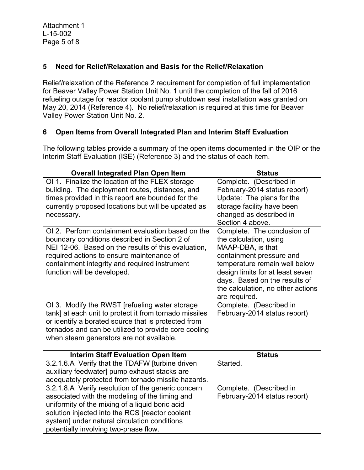### **5 Need for Relief/Relaxation and Basis for the Relief/Relaxation**

Relief/relaxation of the Reference 2 requirement for completion of full implementation for Beaver Valley Power Station Unit No. 1 until the completion of the fall of 2016 refueling outage for reactor coolant pump shutdown seal installation was granted on May 20, 2014 (Reference 4). No relief/relaxation is required at this time for Beaver Valley Power Station Unit No. 2.

### **6 Open Items from Overall Integrated Plan and Interim Staff Evaluation**

The following tables provide a summary of the open items documented in the OIP or the Interim Staff Evaluation (ISE) (Reference 3) and the status of each item.

| <b>Overall Integrated Plan Open Item</b>                                                                                                                                                                                                                                               | <b>Status</b>                                                                                                                                                                                                                                                      |
|----------------------------------------------------------------------------------------------------------------------------------------------------------------------------------------------------------------------------------------------------------------------------------------|--------------------------------------------------------------------------------------------------------------------------------------------------------------------------------------------------------------------------------------------------------------------|
| OI 1. Finalize the location of the FLEX storage<br>building. The deployment routes, distances, and<br>times provided in this report are bounded for the<br>currently proposed locations but will be updated as<br>necessary.                                                           | Complete. (Described in<br>February-2014 status report)<br>Update: The plans for the<br>storage facility have been<br>changed as described in<br>Section 4 above.                                                                                                  |
| OI 2. Perform containment evaluation based on the<br>boundary conditions described in Section 2 of<br>NEI 12-06. Based on the results of this evaluation,<br>required actions to ensure maintenance of<br>containment integrity and required instrument<br>function will be developed. | Complete. The conclusion of<br>the calculation, using<br>MAAP-DBA, is that<br>containment pressure and<br>temperature remain well below<br>design limits for at least seven<br>days. Based on the results of<br>the calculation, no other actions<br>are required. |
| OI 3. Modify the RWST [refueling water storage<br>tank] at each unit to protect it from tornado missiles<br>or identify a borated source that is protected from<br>tornados and can be utilized to provide core cooling<br>when steam generators are not available.                    | Complete. (Described in<br>February-2014 status report)                                                                                                                                                                                                            |

| <b>Interim Staff Evaluation Open Item</b>          | <b>Status</b>                |
|----------------------------------------------------|------------------------------|
| 3.2.1.6.A Verify that the TDAFW [turbine driven]   | Started.                     |
| auxiliary feedwater] pump exhaust stacks are       |                              |
| adequately protected from tornado missile hazards. |                              |
| 3.2.1.8.A Verify resolution of the generic concern | Complete. (Described in      |
| associated with the modeling of the timing and     | February-2014 status report) |
| uniformity of the mixing of a liquid boric acid    |                              |
| solution injected into the RCS [reactor coolant    |                              |
| system] under natural circulation conditions       |                              |
| potentially involving two-phase flow.              |                              |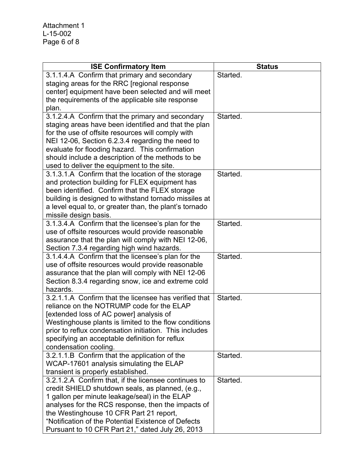| <b>ISE Confirmatory Item</b>                                                | <b>Status</b> |
|-----------------------------------------------------------------------------|---------------|
| 3.1.1.4.A Confirm that primary and secondary                                | Started.      |
| staging areas for the RRC [regional response                                |               |
| center] equipment have been selected and will meet                          |               |
| the requirements of the applicable site response                            |               |
| plan.                                                                       |               |
| 3.1.2.4.A Confirm that the primary and secondary                            | Started.      |
| staging areas have been identified and that the plan                        |               |
| for the use of offsite resources will comply with                           |               |
| NEI 12-06, Section 6.2.3.4 regarding the need to                            |               |
| evaluate for flooding hazard. This confirmation                             |               |
| should include a description of the methods to be                           |               |
| used to deliver the equipment to the site.                                  |               |
| 3.1.3.1.A Confirm that the location of the storage                          | Started.      |
| and protection building for FLEX equipment has                              |               |
| been identified. Confirm that the FLEX storage                              |               |
| building is designed to withstand tornado missiles at                       |               |
| a level equal to, or greater than, the plant's tornado                      |               |
| missile design basis.<br>3.1.3.4.A Confirm that the licensee's plan for the | Started.      |
| use of offsite resources would provide reasonable                           |               |
| assurance that the plan will comply with NEI 12-06,                         |               |
| Section 7.3.4 regarding high wind hazards.                                  |               |
| 3.1.4.4.A Confirm that the licensee's plan for the                          | Started.      |
| use of offsite resources would provide reasonable                           |               |
| assurance that the plan will comply with NEI 12-06                          |               |
| Section 8.3.4 regarding snow, ice and extreme cold                          |               |
| hazards.                                                                    |               |
| 3.2.1.1.A Confirm that the licensee has verified that                       | Started.      |
| reliance on the NOTRUMP code for the ELAP                                   |               |
| [extended loss of AC power] analysis of                                     |               |
| Westinghouse plants is limited to the flow conditions                       |               |
| prior to reflux condensation initiation. This includes                      |               |
| specifying an acceptable definition for reflux                              |               |
| condensation cooling.                                                       |               |
| 3.2.1.1.B Confirm that the application of the                               | Started.      |
| WCAP-17601 analysis simulating the ELAP                                     |               |
| transient is properly established.                                          |               |
| 3.2.1.2.A Confirm that, if the licensee continues to                        | Started.      |
| credit SHIELD shutdown seals, as planned, (e.g.,                            |               |
| 1 gallon per minute leakage/seal) in the ELAP                               |               |
| analyses for the RCS response, then the impacts of                          |               |
| the Westinghouse 10 CFR Part 21 report,                                     |               |
| "Notification of the Potential Existence of Defects                         |               |
| Pursuant to 10 CFR Part 21," dated July 26, 2013                            |               |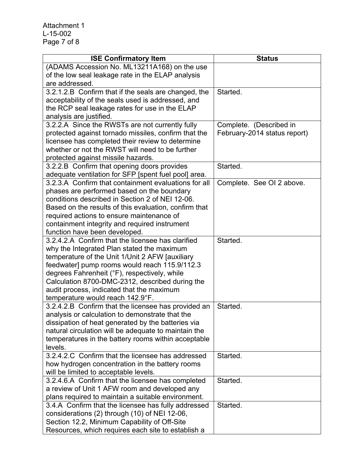| <b>ISE Confirmatory Item</b>                          | <b>Status</b>                |
|-------------------------------------------------------|------------------------------|
| (ADAMS Accession No. ML13211A168) on the use          |                              |
| of the low seal leakage rate in the ELAP analysis     |                              |
| are addressed.                                        |                              |
| 3.2.1.2.B Confirm that if the seals are changed, the  | Started.                     |
| acceptability of the seals used is addressed, and     |                              |
| the RCP seal leakage rates for use in the ELAP        |                              |
| analysis are justified.                               |                              |
| 3.2.2.A Since the RWSTs are not currently fully       | Complete. (Described in      |
| protected against tornado missiles, confirm that the  | February-2014 status report) |
| licensee has completed their review to determine      |                              |
| whether or not the RWST will need to be further       |                              |
| protected against missile hazards.                    |                              |
| 3.2.2.B Confirm that opening doors provides           | Started.                     |
| adequate ventilation for SFP [spent fuel pool] area.  |                              |
| 3.2.3.A Confirm that containment evaluations for all  | Complete. See OI 2 above.    |
| phases are performed based on the boundary            |                              |
| conditions described in Section 2 of NEI 12-06.       |                              |
| Based on the results of this evaluation, confirm that |                              |
| required actions to ensure maintenance of             |                              |
| containment integrity and required instrument         |                              |
| function have been developed.                         |                              |
| 3.2.4.2.A Confirm that the licensee has clarified     | Started.                     |
| why the Integrated Plan stated the maximum            |                              |
| temperature of the Unit 1/Unit 2 AFW [auxiliary       |                              |
| feedwater] pump rooms would reach 115.9/112.3         |                              |
| degrees Fahrenheit (°F), respectively, while          |                              |
| Calculation 8700-DMC-2312, described during the       |                              |
| audit process, indicated that the maximum             |                              |
| temperature would reach 142.9°F.                      |                              |
| 3.2.4.2.B Confirm that the licensee has provided an   | Started.                     |
| analysis or calculation to demonstrate that the       |                              |
| dissipation of heat generated by the batteries via    |                              |
| natural circulation will be adequate to maintain the  |                              |
| temperatures in the battery rooms within acceptable   |                              |
| levels.                                               |                              |
| 3.2.4.2.C Confirm that the licensee has addressed     | Started.                     |
| how hydrogen concentration in the battery rooms       |                              |
| will be limited to acceptable levels.                 |                              |
| 3.2.4.6.A Confirm that the licensee has completed     | Started.                     |
| a review of Unit 1 AFW room and developed any         |                              |
| plans required to maintain a suitable environment.    |                              |
| 3.4.A Confirm that the licensee has fully addressed   | Started.                     |
| considerations (2) through (10) of NEI 12-06,         |                              |
| Section 12.2, Minimum Capability of Off-Site          |                              |
| Resources, which requires each site to establish a    |                              |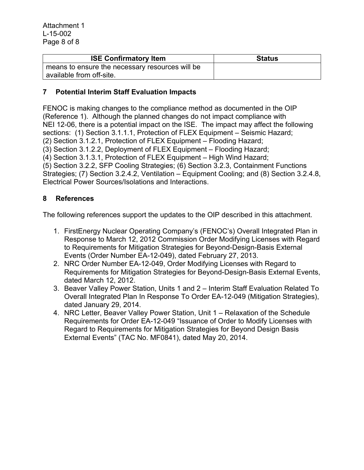| <b>ISE Confirmatory Item</b>                    | <b>Status</b> |
|-------------------------------------------------|---------------|
| means to ensure the necessary resources will be |               |
| available from off-site.                        |               |

## **7 Potential Interim Staff Evaluation Impacts**

FENOC is making changes to the compliance method as documented in the OIP (Reference 1). Although the planned changes do not impact compliance with NEI 12-06, there is a potential impact on the ISE. The impact may affect the following sections: (1) Section 3.1.1.1, Protection of FLEX Equipment – Seismic Hazard; (2) Section 3.1.2.1, Protection of FLEX Equipment – Flooding Hazard;

(3) Section 3.1.2.2, Deployment of FLEX Equipment – Flooding Hazard;

(4) Section 3.1.3.1, Protection of FLEX Equipment – High Wind Hazard;

(5) Section 3.2.2, SFP Cooling Strategies; (6) Section 3.2.3, Containment Functions Strategies; (7) Section 3.2.4.2, Ventilation – Equipment Cooling; and (8) Section 3.2.4.8, Electrical Power Sources/Isolations and Interactions.

#### **8 References**

The following references support the updates to the OIP described in this attachment.

- 1. FirstEnergy Nuclear Operating Company's (FENOC's) Overall Integrated Plan in Response to March 12, 2012 Commission Order Modifying Licenses with Regard to Requirements for Mitigation Strategies for Beyond-Design-Basis External Events (Order Number EA-12-049), dated February 27, 2013.
- 2. NRC Order Number EA-12-049, Order Modifying Licenses with Regard to Requirements for Mitigation Strategies for Beyond-Design-Basis External Events, dated March 12, 2012.
- 3. Beaver Valley Power Station, Units 1 and 2 Interim Staff Evaluation Related To Overall Integrated Plan In Response To Order EA-12-049 (Mitigation Strategies), dated January 29, 2014.
- 4. NRC Letter, Beaver Valley Power Station, Unit 1 Relaxation of the Schedule Requirements for Order EA-12-049 "Issuance of Order to Modify Licenses with Regard to Requirements for Mitigation Strategies for Beyond Design Basis External Events" (TAC No. MF0841), dated May 20, 2014.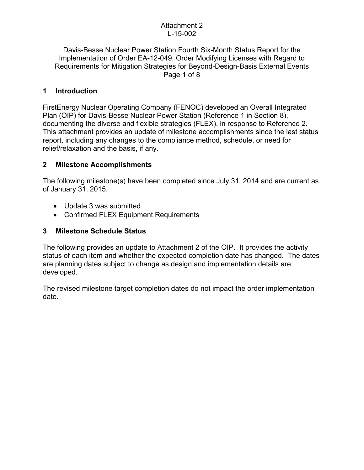### Attachment 2 L-15-002

Davis-Besse Nuclear Power Station Fourth Six-Month Status Report for the Implementation of Order EA-12-049, Order Modifying Licenses with Regard to Requirements for Mitigation Strategies for Beyond-Design-Basis External Events Page 1 of 8

## **1 Introduction**

FirstEnergy Nuclear Operating Company (FENOC) developed an Overall Integrated Plan (OIP) for Davis-Besse Nuclear Power Station (Reference 1 in Section 8), documenting the diverse and flexible strategies (FLEX), in response to Reference 2. This attachment provides an update of milestone accomplishments since the last status report, including any changes to the compliance method, schedule, or need for relief/relaxation and the basis, if any.

## **2 Milestone Accomplishments**

The following milestone(s) have been completed since July 31, 2014 and are current as of January 31, 2015.

- Update 3 was submitted
- Confirmed FLEX Equipment Requirements

## **3 Milestone Schedule Status**

The following provides an update to Attachment 2 of the OIP. It provides the activity status of each item and whether the expected completion date has changed. The dates are planning dates subject to change as design and implementation details are developed.

The revised milestone target completion dates do not impact the order implementation date.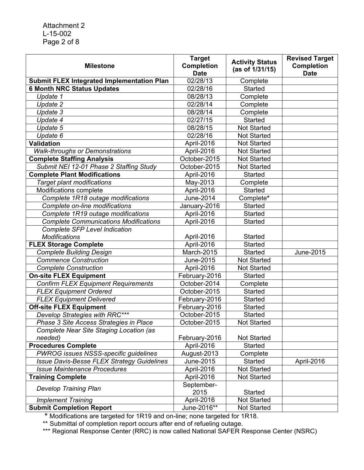Attachment 2 L-15-002 Page 2 of 8

| <b>Milestone</b>                                  | <b>Target</b><br><b>Completion</b> | <b>Activity Status</b> | <b>Revised Target</b><br><b>Completion</b> |
|---------------------------------------------------|------------------------------------|------------------------|--------------------------------------------|
|                                                   | <b>Date</b>                        | (as of 1/31/15)        | <b>Date</b>                                |
| <b>Submit FLEX Integrated Implementation Plan</b> | 02/28/13                           | Complete               |                                            |
| <b>6 Month NRC Status Updates</b>                 | 02/28/16                           | <b>Started</b>         |                                            |
| Update 1                                          | 08/28/13                           | Complete               |                                            |
| Update 2                                          | 02/28/14                           | Complete               |                                            |
| Update 3                                          | 08/28/14                           | Complete               |                                            |
| Update 4                                          | 02/27/15                           | <b>Started</b>         |                                            |
| Update 5                                          | 08/28/15                           | <b>Not Started</b>     |                                            |
| Update 6                                          | 02/28/16                           | <b>Not Started</b>     |                                            |
| <b>Validation</b>                                 | April-2016                         | <b>Not Started</b>     |                                            |
| <b>Walk-throughs or Demonstrations</b>            | April-2016                         | <b>Not Started</b>     |                                            |
| <b>Complete Staffing Analysis</b>                 | October-2015                       | <b>Not Started</b>     |                                            |
| Submit NEI 12-01 Phase 2 Staffing Study           | October-2015                       | <b>Not Started</b>     |                                            |
| <b>Complete Plant Modifications</b>               | April-2016                         | <b>Started</b>         |                                            |
| <b>Target plant modifications</b>                 | May-2013                           | Complete               |                                            |
| Modifications complete                            | April-2016                         | <b>Started</b>         |                                            |
| Complete 1R18 outage modifications                | June-2014                          | Complete*              |                                            |
| Complete on-line modifications                    | January-2016                       | <b>Started</b>         |                                            |
| Complete 1R19 outage modifications                | April-2016                         | <b>Started</b>         |                                            |
| <b>Complete Communications Modifications</b>      | April-2016                         | <b>Started</b>         |                                            |
| <b>Complete SFP Level Indication</b>              |                                    |                        |                                            |
| <b>Modifications</b>                              | April-2016                         | <b>Started</b>         |                                            |
| <b>FLEX Storage Complete</b>                      | April-2016                         | <b>Started</b>         |                                            |
| <b>Complete Building Design</b>                   | March-2015                         | <b>Started</b>         | June-2015                                  |
| <b>Commence Construction</b>                      | June-2015                          | <b>Not Started</b>     |                                            |
| <b>Complete Construction</b>                      | April-2016                         | <b>Not Started</b>     |                                            |
| <b>On-site FLEX Equipment</b>                     | February-2016                      | <b>Started</b>         |                                            |
| <b>Confirm FLEX Equipment Requirements</b>        | October-2014                       | Complete               |                                            |
| <b>FLEX Equipment Ordered</b>                     | October-2015                       | <b>Started</b>         |                                            |
| <b>FLEX Equipment Delivered</b>                   | February-2016                      | <b>Started</b>         |                                            |
| <b>Off-site FLEX Equipment</b>                    | February-2016                      | <b>Started</b>         |                                            |
| Develop Strategies with RRC***                    | October-2015                       | <b>Started</b>         |                                            |
| Phase 3 Site Access Strategies in Place           | October-2015                       | <b>Not Started</b>     |                                            |
| Complete Near Site Staging Location (as           |                                    |                        |                                            |
| needed)                                           | February-2016                      | <b>Not Started</b>     |                                            |
| <b>Procedures Complete</b>                        | April-2016                         | Started                |                                            |
| PWROG issues NSSS-specific guidelines             | August-2013                        | Complete               |                                            |
| <b>Issue Davis-Besse FLEX Strategy Guidelines</b> | June-2015                          | <b>Started</b>         | April-2016                                 |
| <b>Issue Maintenance Procedures</b>               | April-2016                         | Not Started            |                                            |
| <b>Training Complete</b>                          | April-2016                         | Not Started            |                                            |
|                                                   | September-                         |                        |                                            |
| <b>Develop Training Plan</b>                      | 2015                               | <b>Started</b>         |                                            |
| <b>Implement Training</b>                         | April-2016                         | Not Started            |                                            |
| <b>Submit Completion Report</b>                   | June-2016**                        | <b>Not Started</b>     |                                            |

 **\*** Modifications are targeted for 1R19 and on-line; none targeted for 1R18.

\*\* Submittal of completion report occurs after end of refueling outage.

\*\*\* Regional Response Center (RRC) is now called National SAFER Response Center (NSRC)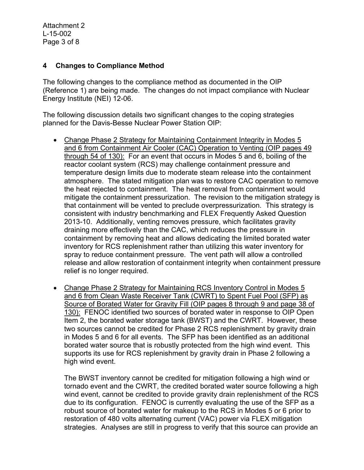#### **4 Changes to Compliance Method**

The following changes to the compliance method as documented in the OIP (Reference 1) are being made. The changes do not impact compliance with Nuclear Energy Institute (NEI) 12-06.

The following discussion details two significant changes to the coping strategies planned for the Davis-Besse Nuclear Power Station OIP:

- Change Phase 2 Strategy for Maintaining Containment Integrity in Modes 5 and 6 from Containment Air Cooler (CAC) Operation to Venting (OIP pages 49 through 54 of 130): For an event that occurs in Modes 5 and 6, boiling of the reactor coolant system (RCS) may challenge containment pressure and temperature design limits due to moderate steam release into the containment atmosphere. The stated mitigation plan was to restore CAC operation to remove the heat rejected to containment. The heat removal from containment would mitigate the containment pressurization. The revision to the mitigation strategy is that containment will be vented to preclude overpressurization. This strategy is consistent with industry benchmarking and FLEX Frequently Asked Question 2013-10. Additionally, venting removes pressure, which facilitates gravity draining more effectively than the CAC, which reduces the pressure in containment by removing heat and allows dedicating the limited borated water inventory for RCS replenishment rather than utilizing this water inventory for spray to reduce containment pressure. The vent path will allow a controlled release and allow restoration of containment integrity when containment pressure relief is no longer required.
- Change Phase 2 Strategy for Maintaining RCS Inventory Control in Modes 5 and 6 from Clean Waste Receiver Tank (CWRT) to Spent Fuel Pool (SFP) as Source of Borated Water for Gravity Fill (OIP pages 8 through 9 and page 38 of 130): FENOC identified two sources of borated water in response to OIP Open Item 2, the borated water storage tank (BWST) and the CWRT. However, these two sources cannot be credited for Phase 2 RCS replenishment by gravity drain in Modes 5 and 6 for all events. The SFP has been identified as an additional borated water source that is robustly protected from the high wind event. This supports its use for RCS replenishment by gravity drain in Phase 2 following a high wind event.

The BWST inventory cannot be credited for mitigation following a high wind or tornado event and the CWRT, the credited borated water source following a high wind event, cannot be credited to provide gravity drain replenishment of the RCS due to its configuration. FENOC is currently evaluating the use of the SFP as a robust source of borated water for makeup to the RCS in Modes 5 or 6 prior to restoration of 480 volts alternating current (VAC) power via FLEX mitigation strategies. Analyses are still in progress to verify that this source can provide an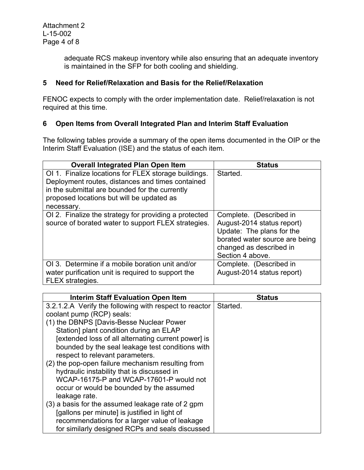adequate RCS makeup inventory while also ensuring that an adequate inventory is maintained in the SFP for both cooling and shielding.

## **5 Need for Relief/Relaxation and Basis for the Relief/Relaxation**

FENOC expects to comply with the order implementation date. Relief/relaxation is not required at this time.

## **6 Open Items from Overall Integrated Plan and Interim Staff Evaluation**

The following tables provide a summary of the open items documented in the OIP or the Interim Staff Evaluation (ISE) and the status of each item.

| <b>Overall Integrated Plan Open Item</b>                                                                                                                                                                              | <b>Status</b>                                                                                                                                                       |
|-----------------------------------------------------------------------------------------------------------------------------------------------------------------------------------------------------------------------|---------------------------------------------------------------------------------------------------------------------------------------------------------------------|
| OI 1. Finalize locations for FLEX storage buildings.<br>Deployment routes, distances and times contained<br>in the submittal are bounded for the currently<br>proposed locations but will be updated as<br>necessary. | Started.                                                                                                                                                            |
| OI 2. Finalize the strategy for providing a protected<br>source of borated water to support FLEX strategies.                                                                                                          | Complete. (Described in<br>August-2014 status report)<br>Update: The plans for the<br>borated water source are being<br>changed as described in<br>Section 4 above. |
| OI 3. Determine if a mobile boration unit and/or<br>water purification unit is required to support the<br>FLEX strategies.                                                                                            | Complete. (Described in<br>August-2014 status report)                                                                                                               |

| <b>Interim Staff Evaluation Open Item</b>              | <b>Status</b> |
|--------------------------------------------------------|---------------|
| 3.2.1.2.A Verify the following with respect to reactor | Started.      |
| coolant pump (RCP) seals:                              |               |
| (1) the DBNPS [Davis-Besse Nuclear Power               |               |
| Station] plant condition during an ELAP                |               |
| [extended loss of all alternating current power] is    |               |
| bounded by the seal leakage test conditions with       |               |
| respect to relevant parameters.                        |               |
| (2) the pop-open failure mechanism resulting from      |               |
| hydraulic instability that is discussed in             |               |
| WCAP-16175-P and WCAP-17601-P would not                |               |
| occur or would be bounded by the assumed               |               |
| leakage rate.                                          |               |
| (3) a basis for the assumed leakage rate of 2 gpm      |               |
| [gallons per minute] is justified in light of          |               |
| recommendations for a larger value of leakage          |               |
| for similarly designed RCPs and seals discussed        |               |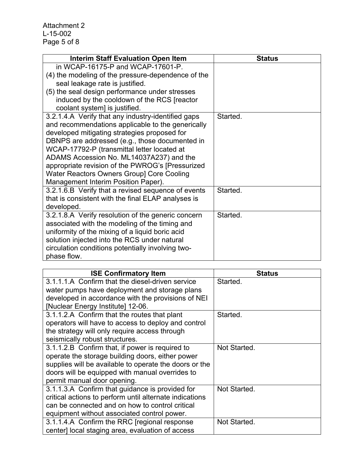| <b>Interim Staff Evaluation Open Item</b>                                                            | <b>Status</b> |
|------------------------------------------------------------------------------------------------------|---------------|
| in WCAP-16175-P and WCAP-17601-P.                                                                    |               |
| (4) the modeling of the pressure-dependence of the                                                   |               |
| seal leakage rate is justified.                                                                      |               |
| (5) the seal design performance under stresses                                                       |               |
| induced by the cooldown of the RCS [reactor                                                          |               |
| coolant system] is justified.                                                                        |               |
| 3.2.1.4.A Verify that any industry-identified gaps                                                   | Started.      |
| and recommendations applicable to the generically                                                    |               |
| developed mitigating strategies proposed for                                                         |               |
| DBNPS are addressed (e.g., those documented in                                                       |               |
| WCAP-17792-P (transmittal letter located at                                                          |               |
| ADAMS Accession No. ML14037A237) and the                                                             |               |
| appropriate revision of the PWROG's [Pressurized                                                     |               |
| Water Reactors Owners Group] Core Cooling                                                            |               |
| Management Interim Position Paper).                                                                  |               |
| 3.2.1.6.B Verify that a revised sequence of events                                                   | Started.      |
| that is consistent with the final ELAP analyses is<br>developed.                                     |               |
|                                                                                                      | Started.      |
| 3.2.1.8.A Verify resolution of the generic concern<br>associated with the modeling of the timing and |               |
| uniformity of the mixing of a liquid boric acid                                                      |               |
| solution injected into the RCS under natural                                                         |               |
| circulation conditions potentially involving two-                                                    |               |
| phase flow.                                                                                          |               |
|                                                                                                      |               |

| <b>ISE Confirmatory Item</b>                            | <b>Status</b> |
|---------------------------------------------------------|---------------|
| 3.1.1.1.A Confirm that the diesel-driven service        | Started.      |
| water pumps have deployment and storage plans           |               |
| developed in accordance with the provisions of NEI      |               |
| [Nuclear Energy Institute] 12-06.                       |               |
| 3.1.1.2.A Confirm that the routes that plant            | Started.      |
| operators will have to access to deploy and control     |               |
| the strategy will only require access through           |               |
| seismically robust structures.                          |               |
| 3.1.1.2.B Confirm that, if power is required to         | Not Started.  |
| operate the storage building doors, either power        |               |
| supplies will be available to operate the doors or the  |               |
| doors will be equipped with manual overrides to         |               |
| permit manual door opening.                             |               |
| 3.1.1.3.A Confirm that guidance is provided for         | Not Started.  |
| critical actions to perform until alternate indications |               |
| can be connected and on how to control critical         |               |
| equipment without associated control power.             |               |
| 3.1.1.4.A Confirm the RRC [regional response]           | Not Started.  |
| center] local staging area, evaluation of access        |               |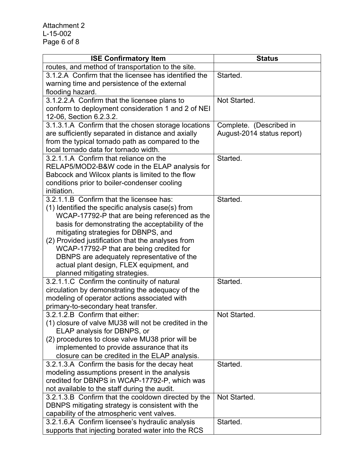| <b>ISE Confirmatory Item</b>                                                              | <b>Status</b>              |
|-------------------------------------------------------------------------------------------|----------------------------|
| routes, and method of transportation to the site.                                         |                            |
| 3.1.2.A Confirm that the licensee has identified the                                      | Started.                   |
| warning time and persistence of the external                                              |                            |
| flooding hazard.                                                                          |                            |
| 3.1.2.2.A Confirm that the licensee plans to                                              | Not Started.               |
| conform to deployment consideration 1 and 2 of NEI                                        |                            |
| 12-06, Section 6.2.3.2.                                                                   |                            |
| 3.1.3.1.A Confirm that the chosen storage locations                                       | Complete. (Described in    |
| are sufficiently separated in distance and axially                                        | August-2014 status report) |
| from the typical tornado path as compared to the                                          |                            |
| local tornado data for tornado width.                                                     |                            |
| 3.2.1.1.A Confirm that reliance on the                                                    | Started.                   |
| RELAP5/MOD2-B&W code in the ELAP analysis for                                             |                            |
| Babcock and Wilcox plants is limited to the flow                                          |                            |
| conditions prior to boiler-condenser cooling                                              |                            |
| initiation.                                                                               |                            |
| 3.2.1.1.B Confirm that the licensee has:                                                  | Started.                   |
| (1) Identified the specific analysis case(s) from                                         |                            |
| WCAP-17792-P that are being referenced as the                                             |                            |
| basis for demonstrating the acceptability of the                                          |                            |
| mitigating strategies for DBNPS, and<br>(2) Provided justification that the analyses from |                            |
| WCAP-17792-P that are being credited for                                                  |                            |
| DBNPS are adequately representative of the                                                |                            |
| actual plant design, FLEX equipment, and                                                  |                            |
| planned mitigating strategies.                                                            |                            |
| 3.2.1.1.C Confirm the continuity of natural                                               | Started.                   |
| circulation by demonstrating the adequacy of the                                          |                            |
| modeling of operator actions associated with                                              |                            |
| primary-to-secondary heat transfer.                                                       |                            |
| 3.2.1.2.B Confirm that either:                                                            | Not Started.               |
| (1) closure of valve MU38 will not be credited in the                                     |                            |
| ELAP analysis for DBNPS, or                                                               |                            |
| (2) procedures to close valve MU38 prior will be                                          |                            |
| implemented to provide assurance that its                                                 |                            |
| closure can be credited in the ELAP analysis.                                             |                            |
| 3.2.1.3.A Confirm the basis for the decay heat                                            | Started.                   |
| modeling assumptions present in the analysis                                              |                            |
| credited for DBNPS in WCAP-17792-P, which was                                             |                            |
| not available to the staff during the audit.                                              |                            |
| 3.2.1.3.B Confirm that the cooldown directed by the                                       | Not Started.               |
| DBNPS mitigating strategy is consistent with the                                          |                            |
| capability of the atmospheric vent valves.                                                |                            |
| 3.2.1.6.A Confirm licensee's hydraulic analysis                                           | Started.                   |
| supports that injecting borated water into the RCS                                        |                            |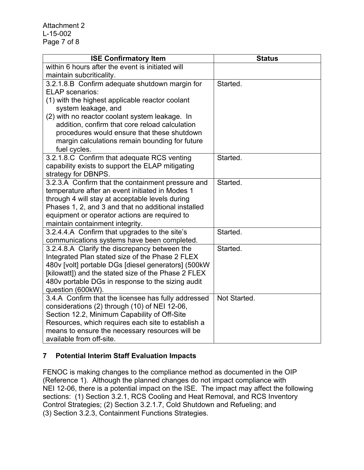Attachment 2 L-15-002 Page 7 of 8

| <b>ISE Confirmatory Item</b>                                                                           | <b>Status</b> |
|--------------------------------------------------------------------------------------------------------|---------------|
| within 6 hours after the event is initiated will                                                       |               |
| maintain subcriticality.                                                                               |               |
| 3.2.1.8.B Confirm adequate shutdown margin for                                                         | Started.      |
| <b>ELAP</b> scenarios:                                                                                 |               |
| (1) with the highest applicable reactor coolant                                                        |               |
| system leakage, and                                                                                    |               |
| (2) with no reactor coolant system leakage. In                                                         |               |
| addition, confirm that core reload calculation                                                         |               |
| procedures would ensure that these shutdown                                                            |               |
| margin calculations remain bounding for future                                                         |               |
| fuel cycles.                                                                                           |               |
| 3.2.1.8.C Confirm that adequate RCS venting                                                            | Started.      |
| capability exists to support the ELAP mitigating                                                       |               |
| strategy for DBNPS.                                                                                    |               |
| 3.2.3.A Confirm that the containment pressure and                                                      | Started.      |
| temperature after an event initiated in Modes 1                                                        |               |
| through 4 will stay at acceptable levels during<br>Phases 1, 2, and 3 and that no additional installed |               |
| equipment or operator actions are required to                                                          |               |
| maintain containment integrity.                                                                        |               |
| 3.2.4.4.A Confirm that upgrades to the site's                                                          | Started.      |
| communications systems have been completed.                                                            |               |
| 3.2.4.8.A Clarify the discrepancy between the                                                          | Started.      |
| Integrated Plan stated size of the Phase 2 FLEX                                                        |               |
| 480v [volt] portable DGs [diesel generators] (500kW                                                    |               |
| [kilowatt]) and the stated size of the Phase 2 FLEX                                                    |               |
| 480v portable DGs in response to the sizing audit                                                      |               |
| question (600kW).                                                                                      |               |
| 3.4.A Confirm that the licensee has fully addressed                                                    | Not Started.  |
| considerations (2) through (10) of NEI 12-06,                                                          |               |
| Section 12.2, Minimum Capability of Off-Site                                                           |               |
| Resources, which requires each site to establish a                                                     |               |
| means to ensure the necessary resources will be                                                        |               |
| available from off-site.                                                                               |               |

## **7 Potential Interim Staff Evaluation Impacts**

FENOC is making changes to the compliance method as documented in the OIP (Reference 1). Although the planned changes do not impact compliance with NEI 12-06, there is a potential impact on the ISE. The impact may affect the following sections: (1) Section 3.2.1, RCS Cooling and Heat Removal, and RCS Inventory Control Strategies; (2) Section 3.2.1.7, Cold Shutdown and Refueling; and (3) Section 3.2.3, Containment Functions Strategies.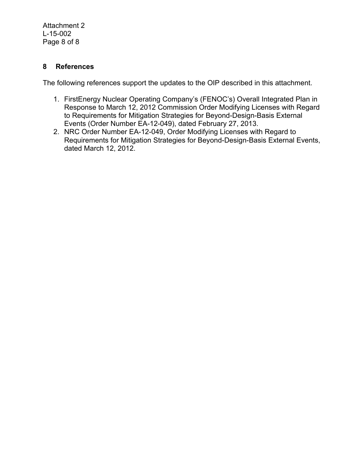Attachment 2 L-15-002 Page 8 of 8

#### **8 References**

The following references support the updates to the OIP described in this attachment.

- 1. FirstEnergy Nuclear Operating Company's (FENOC's) Overall Integrated Plan in Response to March 12, 2012 Commission Order Modifying Licenses with Regard to Requirements for Mitigation Strategies for Beyond-Design-Basis External Events (Order Number EA-12-049), dated February 27, 2013.
- 2. NRC Order Number EA-12-049, Order Modifying Licenses with Regard to Requirements for Mitigation Strategies for Beyond-Design-Basis External Events, dated March 12, 2012.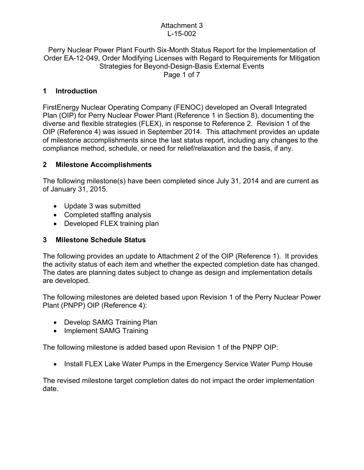### Attachment 3 L-15-002

#### Perry Nuclear Power Plant Fourth Six-Month Status Report for the Implementation of Order EA-12-049, Order Modifying Licenses with Regard to Requirements for Mitigation Strategies for Beyond-Design-Basis External Events Page 1 of 7

## **1 Introduction**

FirstEnergy Nuclear Operating Company (FENOC) developed an Overall Integrated Plan (OIP) for Perry Nuclear Power Plant (Reference 1 in Section 8), documenting the diverse and flexible strategies (FLEX), in response to Reference 2. Revision 1 of the OIP (Reference 4) was issued in September 2014. This attachment provides an update of milestone accomplishments since the last status report, including any changes to the compliance method, schedule, or need for relief/relaxation and the basis, if any.

## **2 Milestone Accomplishments**

The following milestone(s) have been completed since July 31, 2014 and are current as of January 31, 2015.

- Update 3 was submitted
- Completed staffing analysis
- Developed FLEX training plan

## **3 Milestone Schedule Status**

The following provides an update to Attachment 2 of the OIP (Reference 1). It provides the activity status of each item and whether the expected completion date has changed. The dates are planning dates subject to change as design and implementation details are developed.

The following milestones are deleted based upon Revision 1 of the Perry Nuclear Power Plant (PNPP) OIP (Reference 4):

- Develop SAMG Training Plan
- Implement SAMG Training

The following milestone is added based upon Revision 1 of the PNPP OIP:

• Install FLEX Lake Water Pumps in the Emergency Service Water Pump House

The revised milestone target completion dates do not impact the order implementation date.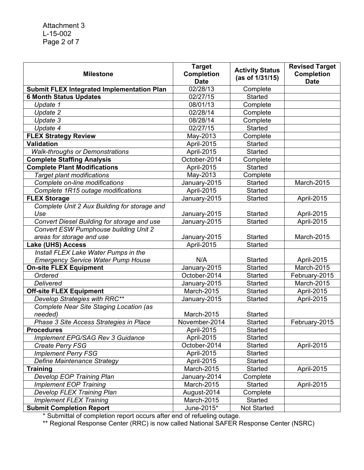| <b>Milestone</b>                                  | <b>Target</b><br><b>Completion</b><br><b>Date</b> | <b>Activity Status</b><br>(as of 1/31/15) | <b>Revised Target</b><br><b>Completion</b><br><b>Date</b> |
|---------------------------------------------------|---------------------------------------------------|-------------------------------------------|-----------------------------------------------------------|
| <b>Submit FLEX Integrated Implementation Plan</b> | 02/28/13                                          | Complete                                  |                                                           |
| <b>6 Month Status Updates</b>                     | 02/27/15                                          | <b>Started</b>                            |                                                           |
| Update 1                                          | 08/01/13                                          | Complete                                  |                                                           |
| Update 2                                          | 02/28/14                                          | Complete                                  |                                                           |
| Update 3                                          | 08/28/14                                          | Complete                                  |                                                           |
| Update 4                                          | 02/27/15                                          | Started                                   |                                                           |
| <b>FLEX Strategy Review</b>                       | May-2013                                          | Complete                                  |                                                           |
| <b>Validation</b>                                 | April-2015                                        | <b>Started</b>                            |                                                           |
| <b>Walk-throughs or Demonstrations</b>            | April-2015                                        | <b>Started</b>                            |                                                           |
| <b>Complete Staffing Analysis</b>                 | October-2014                                      | Complete                                  |                                                           |
| <b>Complete Plant Modifications</b>               | April-2015                                        | <b>Started</b>                            |                                                           |
| <b>Target plant modifications</b>                 | May-2013                                          | Complete                                  |                                                           |
| Complete on-line modifications                    | January-2015                                      | Started                                   | March-2015                                                |
| Complete 1R15 outage modifications                | April-2015                                        | Started                                   |                                                           |
| <b>FLEX Storage</b>                               | January-2015                                      | Started                                   | April-2015                                                |
| Complete Unit 2 Aux Building for storage and      |                                                   |                                           |                                                           |
| Use                                               | January-2015                                      | <b>Started</b>                            | April-2015                                                |
| Convert Diesel Building for storage and use       | January-2015                                      | Started                                   | April-2015                                                |
| <b>Convert ESW Pumphouse building Unit 2</b>      |                                                   |                                           |                                                           |
| areas for storage and use                         | January-2015                                      | <b>Started</b>                            | March-2015                                                |
| Lake (UHS) Access                                 | April-2015                                        | Started                                   |                                                           |
| Install FLEX Lake Water Pumps in the              |                                                   |                                           |                                                           |
| <b>Emergency Service Water Pump House</b>         | N/A                                               | Started                                   | April-2015                                                |
| <b>On-site FLEX Equipment</b>                     | January-2015                                      | <b>Started</b>                            | March-2015                                                |
| Ordered                                           | October-2014                                      | <b>Started</b>                            | February-2015                                             |
| Delivered                                         | January-2015                                      | Started                                   | March-2015                                                |
| <b>Off-site FLEX Equipment</b>                    | March-2015                                        | Started                                   | April-2015                                                |
| Develop Strategies with RRC**                     | January-2015                                      | Started                                   | April-2015                                                |
| Complete Near Site Staging Location (as           |                                                   |                                           |                                                           |
| needed)                                           | March-2015                                        | <b>Started</b>                            |                                                           |
| Phase 3 Site Access Strategies in Place           | November-2014                                     | <b>Started</b>                            | February-2015                                             |
| <b>Procedures</b>                                 | April-2015                                        | Started                                   |                                                           |
| Implement EPG/SAG Rev 3 Guidance                  | April-2015                                        | Started                                   |                                                           |
| Create Perry FSG                                  | October-2014                                      | Started                                   | April-2015                                                |
| <b>Implement Perry FSG</b>                        | April-2015                                        | Started                                   |                                                           |
| Define Maintenance Strategy                       | April-2015                                        | <b>Started</b>                            |                                                           |
| <b>Training</b>                                   | March-2015                                        | Started                                   | April-2015                                                |
| Develop EOP Training Plan                         | January-2014                                      | Complete                                  |                                                           |
| <b>Implement EOP Training</b>                     | March-2015                                        | Started                                   | April-2015                                                |
| Develop FLEX Training Plan                        | August-2014                                       | Complete                                  |                                                           |
| <b>Implement FLEX Training</b>                    | March-2015                                        | Started                                   |                                                           |
| <b>Submit Completion Report</b>                   | June-2015*                                        | <b>Not Started</b>                        |                                                           |

\* Submittal of completion report occurs after end of refueling outage.

\*\* Regional Response Center (RRC) is now called National SAFER Response Center (NSRC)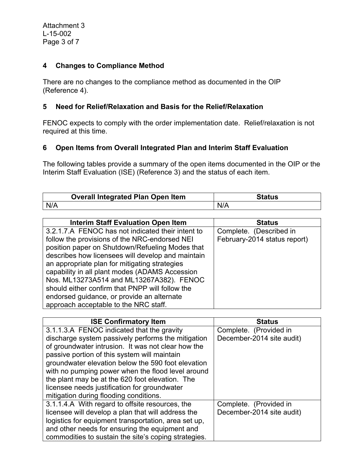#### **4 Changes to Compliance Method**

There are no changes to the compliance method as documented in the OIP (Reference 4).

#### **5 Need for Relief/Relaxation and Basis for the Relief/Relaxation**

FENOC expects to comply with the order implementation date. Relief/relaxation is not required at this time.

### **6 Open Items from Overall Integrated Plan and Interim Staff Evaluation**

The following tables provide a summary of the open items documented in the OIP or the Interim Staff Evaluation (ISE) (Reference 3) and the status of each item.

|     | <b>Overall Integrated Plan Open Item</b> | Status |
|-----|------------------------------------------|--------|
| N/A |                                          |        |

| <b>Interim Staff Evaluation Open Item</b>         | <b>Status</b>                |
|---------------------------------------------------|------------------------------|
| 3.2.1.7.A FENOC has not indicated their intent to | Complete. (Described in      |
| follow the provisions of the NRC-endorsed NEI     | February-2014 status report) |
| position paper on Shutdown/Refueling Modes that   |                              |
| describes how licensees will develop and maintain |                              |
| an appropriate plan for mitigating strategies     |                              |
| capability in all plant modes (ADAMS Accession    |                              |
| Nos. ML13273A514 and ML13267A382). FENOC          |                              |
| should either confirm that PNPP will follow the   |                              |
| endorsed guidance, or provide an alternate        |                              |
| approach acceptable to the NRC staff.             |                              |

| <b>ISE Confirmatory Item</b>                         | <b>Status</b>             |
|------------------------------------------------------|---------------------------|
| 3.1.1.3.A FENOC indicated that the gravity           | Complete. (Provided in    |
| discharge system passively performs the mitigation   | December-2014 site audit) |
| of groundwater intrusion. It was not clear how the   |                           |
| passive portion of this system will maintain         |                           |
| groundwater elevation below the 590 foot elevation   |                           |
| with no pumping power when the flood level around    |                           |
| the plant may be at the 620 foot elevation. The      |                           |
| licensee needs justification for groundwater         |                           |
| mitigation during flooding conditions.               |                           |
| 3.1.1.4.A With regard to offsite resources, the      | Complete. (Provided in    |
| licensee will develop a plan that will address the   | December-2014 site audit) |
| logistics for equipment transportation, area set up, |                           |
| and other needs for ensuring the equipment and       |                           |
| commodities to sustain the site's coping strategies. |                           |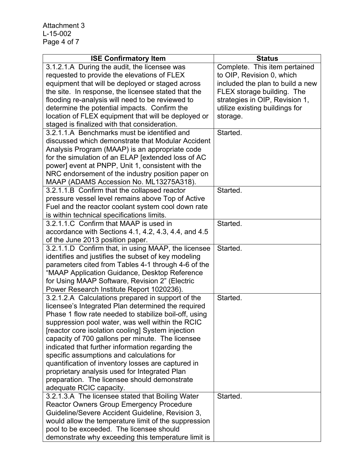Attachment 3 L-15-002 Page 4 of 7

| <b>ISE Confirmatory Item</b>                          | <b>Status</b>                    |
|-------------------------------------------------------|----------------------------------|
| 3.1.2.1.A During the audit, the licensee was          | Complete. This item pertained    |
| requested to provide the elevations of FLEX           | to OIP, Revision 0, which        |
| equipment that will be deployed or staged across      | included the plan to build a new |
| the site. In response, the licensee stated that the   | FLEX storage building. The       |
| flooding re-analysis will need to be reviewed to      | strategies in OIP, Revision 1,   |
| determine the potential impacts. Confirm the          | utilize existing buildings for   |
| location of FLEX equipment that will be deployed or   | storage.                         |
| staged is finalized with that consideration.          |                                  |
| 3.2.1.1.A Benchmarks must be identified and           | Started.                         |
| discussed which demonstrate that Modular Accident     |                                  |
| Analysis Program (MAAP) is an appropriate code        |                                  |
| for the simulation of an ELAP [extended loss of AC    |                                  |
| power] event at PNPP, Unit 1, consistent with the     |                                  |
| NRC endorsement of the industry position paper on     |                                  |
| MAAP (ADAMS Accession No. ML13275A318).               |                                  |
| 3.2.1.1.B Confirm that the collapsed reactor          | Started.                         |
| pressure vessel level remains above Top of Active     |                                  |
| Fuel and the reactor coolant system cool down rate    |                                  |
| is within technical specifications limits.            |                                  |
| 3.2.1.1.C Confirm that MAAP is used in                | Started.                         |
| accordance with Sections 4.1, 4.2, 4.3, 4.4, and 4.5  |                                  |
| of the June 2013 position paper.                      |                                  |
| 3.2.1.1.D Confirm that, in using MAAP, the licensee   | Started.                         |
| identifies and justifies the subset of key modeling   |                                  |
| parameters cited from Tables 4-1 through 4-6 of the   |                                  |
| "MAAP Application Guidance, Desktop Reference         |                                  |
| for Using MAAP Software, Revision 2" (Electric        |                                  |
| Power Research Institute Report 1020236).             |                                  |
| 3.2.1.2.A Calculations prepared in support of the     | Started.                         |
| licensee's Integrated Plan determined the required    |                                  |
| Phase 1 flow rate needed to stabilize boil-off, using |                                  |
| suppression pool water, was well within the RCIC      |                                  |
| [reactor core isolation cooling] System injection     |                                  |
| capacity of 700 gallons per minute. The licensee      |                                  |
| indicated that further information regarding the      |                                  |
| specific assumptions and calculations for             |                                  |
| quantification of inventory losses are captured in    |                                  |
| proprietary analysis used for Integrated Plan         |                                  |
| preparation. The licensee should demonstrate          |                                  |
| adequate RCIC capacity.                               |                                  |
| 3.2.1.3.A The licensee stated that Boiling Water      | Started.                         |
| <b>Reactor Owners Group Emergency Procedure</b>       |                                  |
| Guideline/Severe Accident Guideline, Revision 3,      |                                  |
| would allow the temperature limit of the suppression  |                                  |
| pool to be exceeded. The licensee should              |                                  |
| demonstrate why exceeding this temperature limit is   |                                  |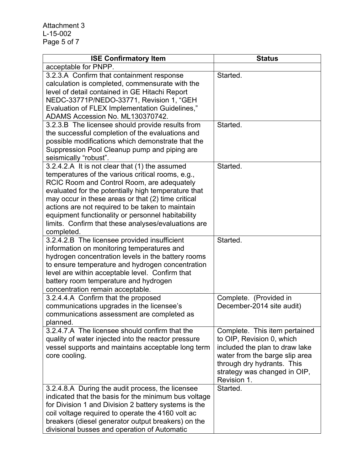| <b>ISE Confirmatory Item</b>                                                                                                                                                                                                                                                                                                                                                                                                                 | <b>Status</b>                                                                                                                                                                                               |
|----------------------------------------------------------------------------------------------------------------------------------------------------------------------------------------------------------------------------------------------------------------------------------------------------------------------------------------------------------------------------------------------------------------------------------------------|-------------------------------------------------------------------------------------------------------------------------------------------------------------------------------------------------------------|
| acceptable for PNPP.                                                                                                                                                                                                                                                                                                                                                                                                                         |                                                                                                                                                                                                             |
| 3.2.3.A Confirm that containment response<br>calculation is completed, commensurate with the<br>level of detail contained in GE Hitachi Report<br>NEDC-33771P/NEDO-33771, Revision 1, "GEH<br>Evaluation of FLEX Implementation Guidelines,"                                                                                                                                                                                                 | Started.                                                                                                                                                                                                    |
| ADAMS Accession No. ML130370742.<br>3.2.3.B The licensee should provide results from<br>the successful completion of the evaluations and<br>possible modifications which demonstrate that the                                                                                                                                                                                                                                                | Started.                                                                                                                                                                                                    |
| Suppression Pool Cleanup pump and piping are<br>seismically "robust".                                                                                                                                                                                                                                                                                                                                                                        |                                                                                                                                                                                                             |
| 3.2.4.2.A It is not clear that (1) the assumed<br>temperatures of the various critical rooms, e.g.,<br>RCIC Room and Control Room, are adequately<br>evaluated for the potentially high temperature that<br>may occur in these areas or that (2) time critical<br>actions are not required to be taken to maintain<br>equipment functionality or personnel habitability<br>limits. Confirm that these analyses/evaluations are<br>completed. | Started.                                                                                                                                                                                                    |
| 3.2.4.2.B The licensee provided insufficient<br>information on monitoring temperatures and<br>hydrogen concentration levels in the battery rooms<br>to ensure temperature and hydrogen concentration<br>level are within acceptable level. Confirm that<br>battery room temperature and hydrogen<br>concentration remain acceptable.                                                                                                         | Started.                                                                                                                                                                                                    |
| 3.2.4.4.A Confirm that the proposed<br>communications upgrades in the licensee's<br>communications assessment are completed as<br>planned.                                                                                                                                                                                                                                                                                                   | Complete. (Provided in<br>December-2014 site audit)                                                                                                                                                         |
| 3.2.4.7.A The licensee should confirm that the<br>quality of water injected into the reactor pressure<br>vessel supports and maintains acceptable long term<br>core cooling.                                                                                                                                                                                                                                                                 | Complete. This item pertained<br>to OIP, Revision 0, which<br>included the plan to draw lake<br>water from the barge slip area<br>through dry hydrants. This<br>strategy was changed in OIP,<br>Revision 1. |
| 3.2.4.8.A During the audit process, the licensee<br>indicated that the basis for the minimum bus voltage<br>for Division 1 and Division 2 battery systems is the<br>coil voltage required to operate the 4160 volt ac<br>breakers (diesel generator output breakers) on the<br>divisional busses and operation of Automatic                                                                                                                  | Started.                                                                                                                                                                                                    |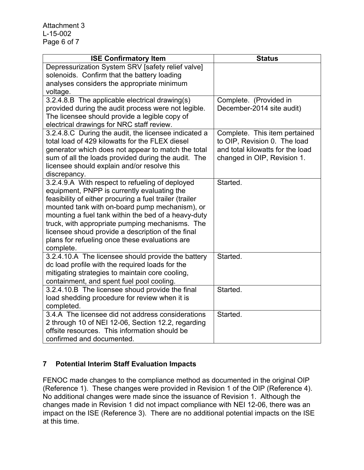| <b>ISE Confirmatory Item</b>                                                                              | <b>Status</b>                    |
|-----------------------------------------------------------------------------------------------------------|----------------------------------|
| Depressurization System SRV [safety relief valve]                                                         |                                  |
| solenoids. Confirm that the battery loading                                                               |                                  |
| analyses considers the appropriate minimum                                                                |                                  |
| voltage.                                                                                                  |                                  |
| 3.2.4.8.B The applicable electrical drawing(s)                                                            | Complete. (Provided in           |
| provided during the audit process were not legible.                                                       | December-2014 site audit)        |
| The licensee should provide a legible copy of                                                             |                                  |
| electrical drawings for NRC staff review.                                                                 |                                  |
| 3.2.4.8.C During the audit, the licensee indicated a                                                      | Complete. This item pertained    |
| total load of 429 kilowatts for the FLEX diesel                                                           | to OIP, Revision 0. The load     |
| generator which does not appear to match the total                                                        | and total kilowatts for the load |
| sum of all the loads provided during the audit. The                                                       | changed in OIP, Revision 1.      |
| licensee should explain and/or resolve this                                                               |                                  |
| discrepancy.                                                                                              |                                  |
| 3.2.4.9.A With respect to refueling of deployed                                                           | Started.                         |
| equipment, PNPP is currently evaluating the                                                               |                                  |
| feasibility of either procuring a fuel trailer (trailer<br>mounted tank with on-board pump mechanism), or |                                  |
| mounting a fuel tank within the bed of a heavy-duty                                                       |                                  |
| truck, with appropriate pumping mechanisms. The                                                           |                                  |
| licensee shoud provide a description of the final                                                         |                                  |
| plans for refueling once these evaluations are                                                            |                                  |
| complete.                                                                                                 |                                  |
| 3.2.4.10.A The licensee should provide the battery                                                        | Started.                         |
| dc load profile with the required loads for the                                                           |                                  |
| mitigating strategies to maintain core cooling,                                                           |                                  |
| containment, and spent fuel pool cooling.                                                                 |                                  |
| 3.2.4.10.B The licensee shoud provide the final                                                           | Started.                         |
| load shedding procedure for review when it is                                                             |                                  |
| completed.                                                                                                |                                  |
| 3.4.A The licensee did not address considerations                                                         | Started.                         |
| 2 through 10 of NEI 12-06, Section 12.2, regarding                                                        |                                  |
| offsite resources. This information should be                                                             |                                  |
| confirmed and documented.                                                                                 |                                  |

# **7 Potential Interim Staff Evaluation Impacts**

FENOC made changes to the compliance method as documented in the original OIP (Reference 1). These changes were provided in Revision 1 of the OIP (Reference 4). No additional changes were made since the issuance of Revision 1. Although the changes made in Revision 1 did not impact compliance with NEI 12-06, there was an impact on the ISE (Reference 3). There are no additional potential impacts on the ISE at this time.